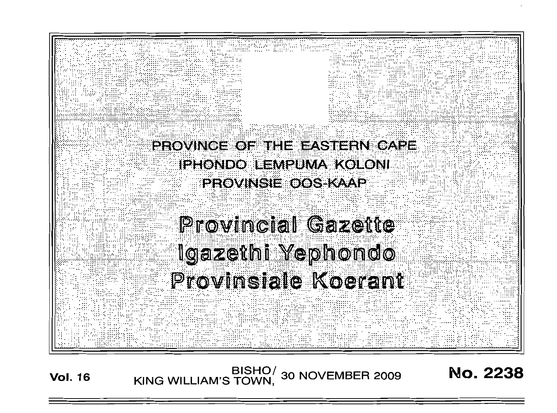

BISHO/ 30 NOVEMBER 2009<br>KING WILLIAM'S TOWN, 30 NOVEMBER 2009 **Vol. 16** 

**No. 2238**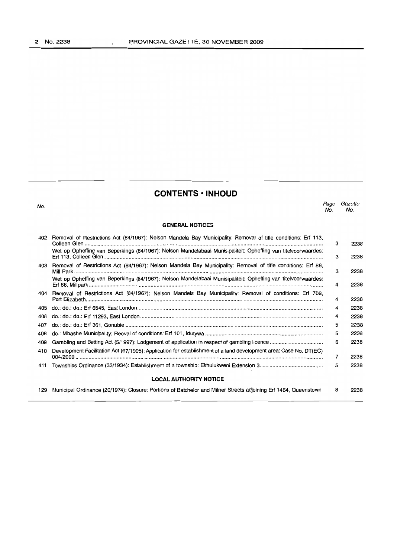$\overline{a}$ 

| <b>CONTENTS · INHOUD</b> |  |  |
|--------------------------|--|--|
|--------------------------|--|--|

No.

#### *Page Gazette* No. No.

#### **GENERAL NOTICES**

| 402                           | Removal of Restrictions Act (84/1967): Nelson Mandela Bay Municipality: Removal of title conditions: Erf 113,     | з | 2238 |
|-------------------------------|-------------------------------------------------------------------------------------------------------------------|---|------|
|                               | Wet op Opheffing van Beperkings (84/1967): Nelson Mandelabaai Munisipaliteit: Opheffing van titelvoorwaardes:     | з | 2238 |
| 403                           | Removal of Restrictions Act (84/1967): Nelson Mandela Bay Municipality: Removal of title conditions: Erf 88,      | з | 2238 |
|                               | Wet op Opheffing van Beperkings (84/1967): Nelson Mandelabaai Munisipaliteit: Opheffing van titelvoorwaardes:     | 4 | 2238 |
| 404                           | Removal of Restrictions Act (84/1967): Nelson Mandela Bay Municipality: Removal of conditions: Erf 768,           | 4 | 2238 |
| 405                           |                                                                                                                   | 4 | 2238 |
| 406                           |                                                                                                                   | 4 | 2238 |
| 407                           |                                                                                                                   | 5 | 2238 |
| 408                           |                                                                                                                   | 5 | 2238 |
| 409                           |                                                                                                                   | 6 | 2238 |
| 410                           | Development Facilitation Act (67/1995): Application for establishment of a land development area: Case No. DT(EC) | 7 | 2238 |
| 411                           |                                                                                                                   | 5 | 2238 |
| <b>LOCAL AUTHORITY NOTICE</b> |                                                                                                                   |   |      |
| 129                           | Municipal Ordinance (20/1974): Closure: Portions of Batchelor and Milner Streets adjoining Erf 1464, Queenstown   | 8 | 2238 |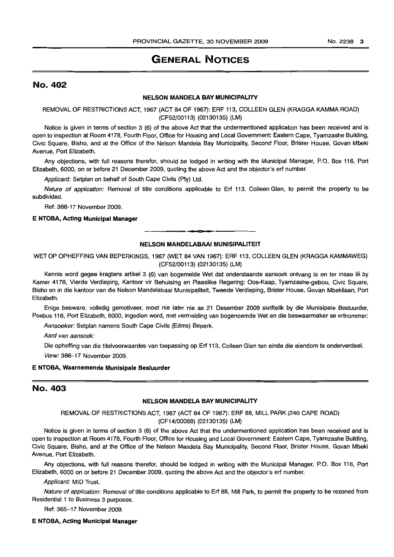## **GENERAL NOTICES**

## No. 402

## **NELSON MANDELA BAY MUNICIPALITY**

REMOVAL OF RESTRICTIONS ACT, 1967 (ACT 84 OF 1967): ERF 113, COLLEEN GLEN (KRAGGA KAMMA ROAD) (CF52/00113) (02130135) (LM)

Notice is given in terms of section 3 (6) of the above Act that the undermentioned application has been received and is open to inspection at Room 4178, Fourth Floor, Office for Housing and Local Government: Eastern Cape, Tyamzashe Building, Civic Square, Bisho, and at the Office of the Nelson Mandela Bay Municipality, Second Floor, Brister House, Govan Mbeki Avenue, Port Elizabeth.

Any objections, with full reasons therefor, should be lodged in writing with the Municipal Manager, P.O. Box 116, Port Elizabeth, 6000, on or before 21 December 2009, quoting the above Act and the objector's ert number.

Applicant: Setplan on behalf of South Cape Civils (Pty) Ltd.

Nature of application: Removal of title conditions applicable to Ert 113, Colleen Glen, to permit the property to be subdivided.

Ref: 366-17 November 2009.

## **E NTOBA, Acting Municipal Manager**

## **NELSON MANDELABAAI MUNISIPALITEIT**

WET OP OPHEFFING VAN BEPERKINGS, 1967 (WET 84 VAN 1967): ERF 113, COLLEEN GLEN (KRAGGA KAMMAWEG) (CF52/00113) (02130135) (LM)

Kennis word gegee kragtens artikel 3 (6) van bogemelde Wet dat onderstaande aansoek ontvang is en ter insae lê by Kamer 4178, Vierde Verdieping, Kantoor vir Behuising en Plaaslike Regering: Oos-Kaap, Tyamzashe-gebou, Civic Square, Bisho en in die kantoor van die Nelson Mandelabaai Munisipaliteit, Tweede Verdieping, Brister House, Govan Mbekilaan, Port Elizabeth.

Enige besware, volledig gemotiveer, moet nie later nie as 21 Desember 2009 skriftelik by die Munisipale Bestuurder, Posbus 116, Port Elizabeth, 6000, ingedien word, met vermelding van bogenoemde Wet en die beswaarmaker se erfnommer:

Aansoeker: Setplan namens South Cape Civils (Edms) Beperk.

Aard van aansoek:

Die opheffing van die titelvoorwaardes van toepassing op Ert 113, Colleen Glen ten einde die eiendom te onderverdeel. Verw: 366-17 November 2009.

#### **E NTOBA, Waarnemende Munisipale Bestuurder**

## No. 403

#### **NELSON MANDELA BAY MUNICIPALITY**

REMOVAL OF RESTRICTIONS ACT, 1967 (ACT 84 OF 1967): ERF 88, MILL PARK (240 CAPE ROAD) (CF14/00088) (02130135) (LM)

Notice is given in terms of section 3 (6) of the above Act that the undermentioned application has been received and is open to inspection at Room 4178, Fourth Floor, Office for Housing and Local Government: Eastern Cape, Tyamzashe Building, Civic Square, Bisho, and at the Office of the Nelson Mandela Bay Municipality, Second Floor, Brister House, Govan Mbeki Avenue, Port Elizabeth.

Any objections, with full reasons therefor, should be lodged in writing with the Municipal Manager, P.O. Box 116, Port Elizabeth, 6000 on or before 21 December 2009, quoting the above Act and the objector's ert number.

Applicant: MID Trust.

Nature of application: Removal of title conditions applicable to Ert 88, Mill Park, to permit the property to be rezoned from Residential 1 to Business 3 purposes.

Ref: 365-17 November 2009.

#### **E NTOBA, Acting Municipal Manager**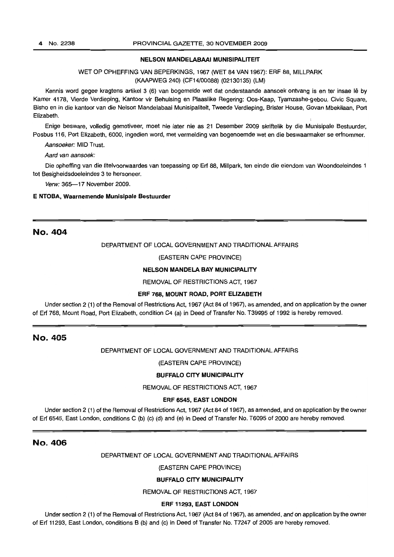#### NELSON MANDELABAAI MUNISIPALITEIT

WET OP OPHEFFING VAN BEPERKINGS, 1967 (WET 84 VAN 1967): ERF 88, MILLPARK (KAAPWEG 240) (CF14/00088) (02130135) (LM)

Kennis word gegee kragtens artikel 3 (6) van bogemelde wet dat onderstaande aansoek ontvang is en ter insae lê by Kamer 4178, Vierde Verdieping, Kantoor vir Behuising en Plaaslike Regering: Oos-Kaap, Tyamzashe-gebou, Civic Square, Bisho en in die kantoor van die Nelson Mandelabaai Munisipaliteit, Tweede Verdieping, Brister House, Govan Mbekilaan, Port Elizabeth.

Enige besware, volledig gemotiveer, moet nie later nie as 21 Desember 2009 skriftelik by die Munisipale Bestuurder, Posbus 116, Port Elizabeth, 6000, ingedien word, met vermelding van bogenoemde wet en die beswaarmaker se erfnommer.

Aansoeker: MID Trust.

Aard van aansoek:

Die opheffing van die titelvoorwaardes van toepassing op Erf 88, Millpark, ten einde die eiendom van Woondoeleindes 1 tot Besigheidsdoeleindes 3 te hersoneer.

Verw: 365-17 November 2009.

#### E NTOBA, Waarnemende Munisipale Bestuurder

## No. 404

#### DEPARTMENT OF LOCAL GOVERNMENT AND TRADITIONAL AFFAIRS

#### (EASTERN CAPE PROVINCE)

#### NELSON MANDELA BAY MUNICIPALITY

#### REMOVAL OF RESTRICTIONS ACT, 1967

#### ERF 768, MOUNT ROAD, PORT ELIZABETH

Under section 2 (1) of the Removal of Restrictions Act, 1967 (Act 84 of 1967), as amended, and on application by the owner of Erf 768, Mount Road, Port Elizabeth, condition C4 (a) in Deed of Transfer No. T39995 of 1992 is hereby removed.

## No. 405

DEPARTMENT OF LOCAL GOVERNMENT AND TRADITIONAL AFFAIRS

(EASTERN CAPE PROVINCE)

#### BUFFALO CITY MUNICIPALITY

REMOVAL OF RESTRICTIONS ACT, 1967

#### ERF 6545, EAST LONDON

Under section 2 (1) of the Removal of Restrictions Act, 1967 (Act 84 of 1967), as amended, and on application by the owner of Erf 6545, East London, conditions C (b) (c) (d) and (e) in Deed of Transfer No. T6095 of 2000 are hereby removed.

## No. 406

DEPARTMENT OF LOCAL GOVERNMENT AND TRADITIONAL AFFAIRS

(EASTERN CAPE PROVINCE)

### BUFFALO CITY MUNICIPALITY

REMOVAL OF RESTRICTIONS ACT, 1967

### ERF 11293, EAST LONDON

Under section 2 (1) of the Removal of Restrictions Act, 1967 (Act 84 of 1967), as amended, and on application by the owner of Erf 11293, East London, conditions B (b) and (c) in Deed of Transfer No. T7247 of 2005 are hereby removed.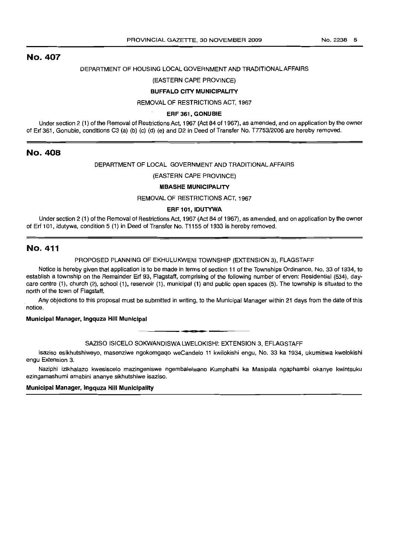## No. 407

## DEPARTMENT OF HOUSING LOCAL GOVERNMENT AND TRADITIONAL AFFAIRS

## (EASTERN CAPE PROVINCE)

## **BUFFALO CITY MUNICIPALITY**

REMOVAL OF RESTRICTIONS ACT, 1967

#### **ERF 361, GONUBIE**

Under section 2 (1) of the Removal of Restrictions Act, 1967 (Act 84 of 1967), as amended, and on application by the owner of Erf 361, Gonubie, conditions C3 (a) (b) (c) (d) (e) and D2 in Deed of Transfer No. T7753/2006 are hereby removed.

## No. 408

### DEPARTMENT OF LOCAL GOVERNMENT AND TRADITIONAL AFFAIRS

#### (EASTERN CAPE PROVINCE)

#### **MBASHE MUNICIPALITY**

REMOVAL OF RESTRICTIONS ACT, 1967

#### **ERF 101, IDUTYWA**

Under section 2 (1) of the Removal of Restrictions Act, 1967 (Act 84 of 1967), as amended, and on application by the owner of Erf 101, Idutywa, condition 5 (1) in Deed of Transfer No. T1155 of 1933 is hereby removed.

## No. 411

### PROPOSED PLANNING OF EKHULUKWENI TOWNSHIP (EXTENSION 3), FLAGSTAFF

Notice is hereby given that application is to be made in terms of section 11 of the Townships Ordinance, No. 33 of 1934, to establish a township on the Remainder Erf 93, Flagstaff, comprising of the following number of erven: Residential (534), daycare centre (1), church (2), school (1), reservoir (1), municipal (1) and public open spaces (5). The township is situated to the north of the town of Flagstaff.

Any objections to this proposal must be submitted in writing, to the Municipal Manager within 21 days from the date of this notice.

## **Municipal Manager, Ingquza Hill Municipal**

• **CI •** SAZISO IS/CELO SOKWANDISWA LWELOKISHI: EXTENSION 3, EFLAGSTAFF

Isaziso esikhutshiweyo, masenziwe ngokomgaqo weCandelo 11 kwilokishi engu, No. 33 ka 1934, ukumiswa kwelokishi engu Extension 3.

Naziphi izikhalazo kwesiscelo mazingeniswe ngembalelwano Kumphathi ka Masipala ngaphambi okanye kwintsuku ezingamashumi amabini ananye sikhutshiwe isaziso.

#### **Municipal Manager, Ingquza Hill Municipality**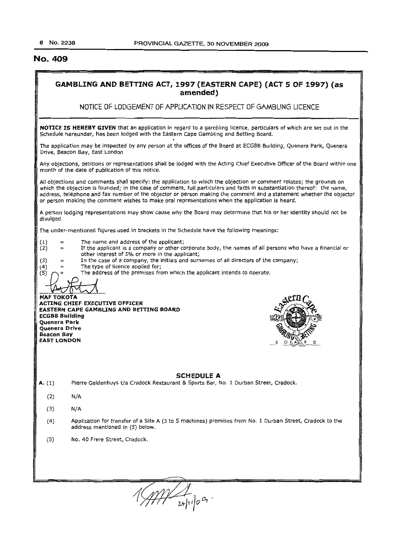## No. 409

## GAMBLING AND BETTING ACT, 1997 (EASTERN CAPE) (ACT 5 OF 1997) (as amended)

NOTICE OF LODGEMENT OF APPLICATION IN RESPECT OF GAMBLING LICENCE

NOTICE IS HEREBY GIVEN that an application in regard to a gambling licence, particulars of which are set out in the Schedule hereunder, has been lodged with the Eastern Cape Gambling and Betting Board.

The application may be inspected by any person at the offices of the Board at ECGBB Building, Quenera Park, Quenera Drive, Beacon Bay, East London

Any objections, petitions or representations shall be lodged with the Acting Chief Executive Officer of the Board within one month of the date of publication of this notice.

All objections and comments shall specify: the application to which the objection or comment relates; the grounds on which the objection is founded; in the case of comment, full particulars and facts in substantiation thereof: the name, address, telephone and fax number of the objector or person making the comment and a statement whether the objector or person making the comment wishes to make oral representations when the application is heard.

A person lodging representations may show cause why the Board may determine that his or her identity should not be divulged.

The under-mentioned figures used in brackets in the Schedule have the following meanings:

- $(1)$  = The name and address of the applicant;
- $(2)$  = If the applicant is a company or other corporate body, the names of all persons who have a financial or other interest of 5% or more in the applicant;

 $(3)$  = In the case of a company, the initials and surnames of all directors of the company;

- $(4)$  = The type of licence applied for;<br>(5)  $\bigcap$  = The address of the premises from
	- The address of the premises from which the applicant intends to operate.

**MAF TOKOTA** 

ACTING CHIEF EXECUTIVE OFFICER EASTERN CAPE GAMBLING AND BETTING BOARD ECGBB Building Quenera Park Quenera Drive Beacon Say EAST LONDON



#### SCHEDULE A

A. (1) Pierre Geldenhuys t/a Cradock Restaurant & Sports Bar, No. 1 Durban Street, Cradock.

- (2) N/A
- (3) N/A
- (4) Application for transfer of a Site A (3 to 5 machines) premises from No.1 Durban Street, Cradock to the address mentioned in (5) below.
- (5) No. 40 Frere Street, Cradock.

 $111 - 2411009$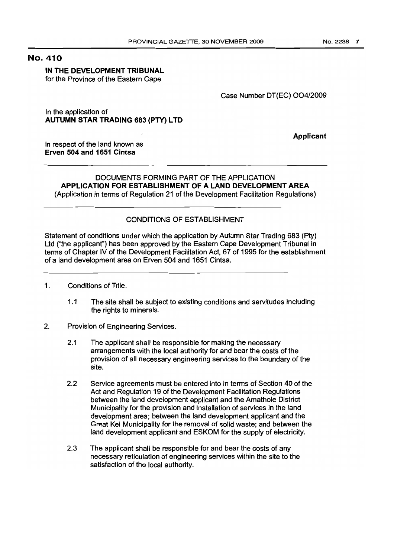## No. 410

## IN THE DEVELOPMENT TRIBUNAL

for the Province of the Eastern Cape

## Case Number DT{EC) *004/2009*

In the application of AUTUMN STAR TRADING 683 (PTY) LTD

Applicant

in respect of the land known as Erven 504 and 1651 Cintsa

## DOCUMENTS FORMING PART OF THE APPLICATION APPLICATION FOR ESTABLISHMENT OF A LAND DEVELOPMENT AREA (Application in terms of Regulation 21 of the Development Facilitation Regulations)

## CONDITIONS OF ESTABLISHMENT

Statement of conditions under which the application by Autumn Star Trading 683 (Pty) Ltd ("the applicant") has been approved by the Eastern Cape Development Tribunal in terms of Chapter IV of the Development Facilitation Act, 67 of 1995 for the establishment of a land development area on Erven 504 and 1651 Cintsa.

- 1. Conditions of Title.
	- 1.1 The site shall be subject to existing conditions and servitudes including the rights to minerals.
- 2. Provision of Engineering Services.
	- 2.1 The applicant shall be responsible for making the necessary arrangements with the local authority for and bear the costs of the provision of all necessary engineering services to the boundary of the site.
	- 2.2 Service agreements must be entered into in terms of Section 40 of the Act and Regulation 19 of the Development Facilitation Regulations between the land development applicant and the Amathole District Municipality for the provision and installation of services in the land development area; between the land development applicant and the Great Kei Municipality for the removal of solid waste; and between the land development applicant and ESKOM for the supply of electricity.
	- 2.3 The applicant shall be responsible for and bear the costs of any necessary reticulation of engineering services within the site to the satisfaction of the local authority.